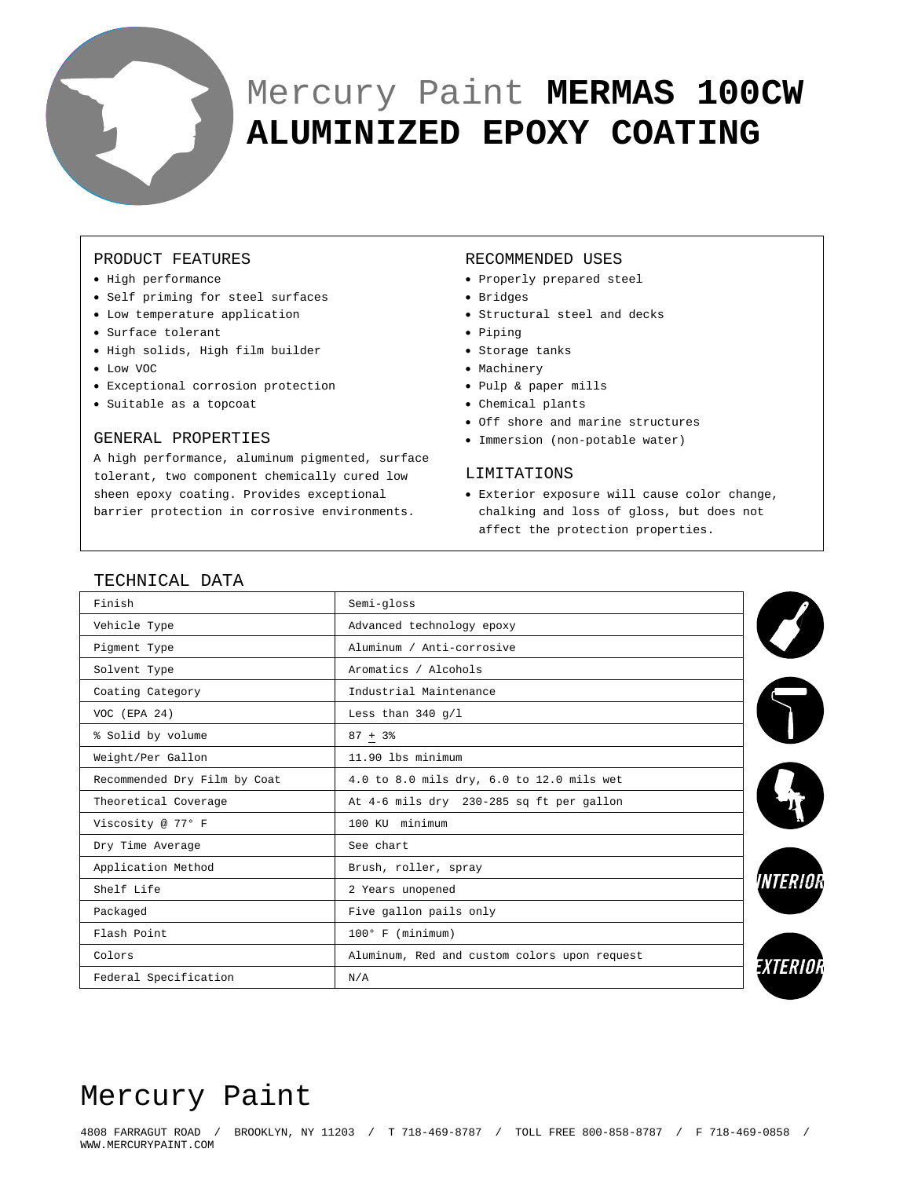

# Mercury Paint **MERMAS 100CW ALUMINIZED EPOXY COATING**

# PRODUCT FEATURES

- High performance
- Self priming for steel surfaces
- Low temperature application
- Surface tolerant
- High solids, High film builder
- Low VOC
- Exceptional corrosion protection
- Suitable as a topcoat

### GENERAL PROPERTIES

A high performance, aluminum pigmented, surface tolerant, two component chemically cured low sheen epoxy coating. Provides exceptional barrier protection in corrosive environments.

#### RECOMMENDED USES

- Properly prepared steel
- Bridges
- Structural steel and decks
- Piping
- Storage tanks
- Machinery
- Pulp & paper mills
- Chemical plants
- Off shore and marine structures
- Immersion (non-potable water)

#### LIMITATIONS

• Exterior exposure will cause color change, chalking and loss of gloss, but does not affect the protection properties.

| TECHNICAL DATA               |                                              |                 |  |
|------------------------------|----------------------------------------------|-----------------|--|
| Finish                       | Semi-gloss                                   |                 |  |
| Vehicle Type                 | Advanced technology epoxy                    |                 |  |
| Pigment Type                 | Aluminum / Anti-corrosive                    |                 |  |
| Solvent Type                 | Aromatics / Alcohols                         |                 |  |
| Coating Category             | Industrial Maintenance                       |                 |  |
| VOC (EPA 24)                 | Less than $340 g/l$                          |                 |  |
| % Solid by volume            | $87 + 3%$                                    |                 |  |
| Weight/Per Gallon            | 11.90 lbs minimum                            |                 |  |
| Recommended Dry Film by Coat | 4.0 to 8.0 mils dry, 6.0 to 12.0 mils wet    |                 |  |
| Theoretical Coverage         | At 4-6 mils dry 230-285 sq ft per gallon     |                 |  |
| Viscosity @ 77° F            | 100 KU minimum                               |                 |  |
| Dry Time Average             | See chart                                    |                 |  |
| Application Method           | Brush, roller, spray                         |                 |  |
| Shelf Life                   | 2 Years unopened                             | <i>VNTERIOH</i> |  |
| Packaged                     | Five gallon pails only                       |                 |  |
| Flash Point                  | $100^{\circ}$ F (minimum)                    |                 |  |
| Colors                       | Aluminum, Red and custom colors upon request | Exterioi        |  |
| Federal Specification        | N/A                                          |                 |  |

# $TCTTCTCTT$

# Mercury Paint

4808 FARRAGUT ROAD / BROOKLYN, NY 11203 / T 718-469-8787 / TOLL FREE 800-858-8787 / F 718-469-0858 / WWW.MERCURYPAINT.COM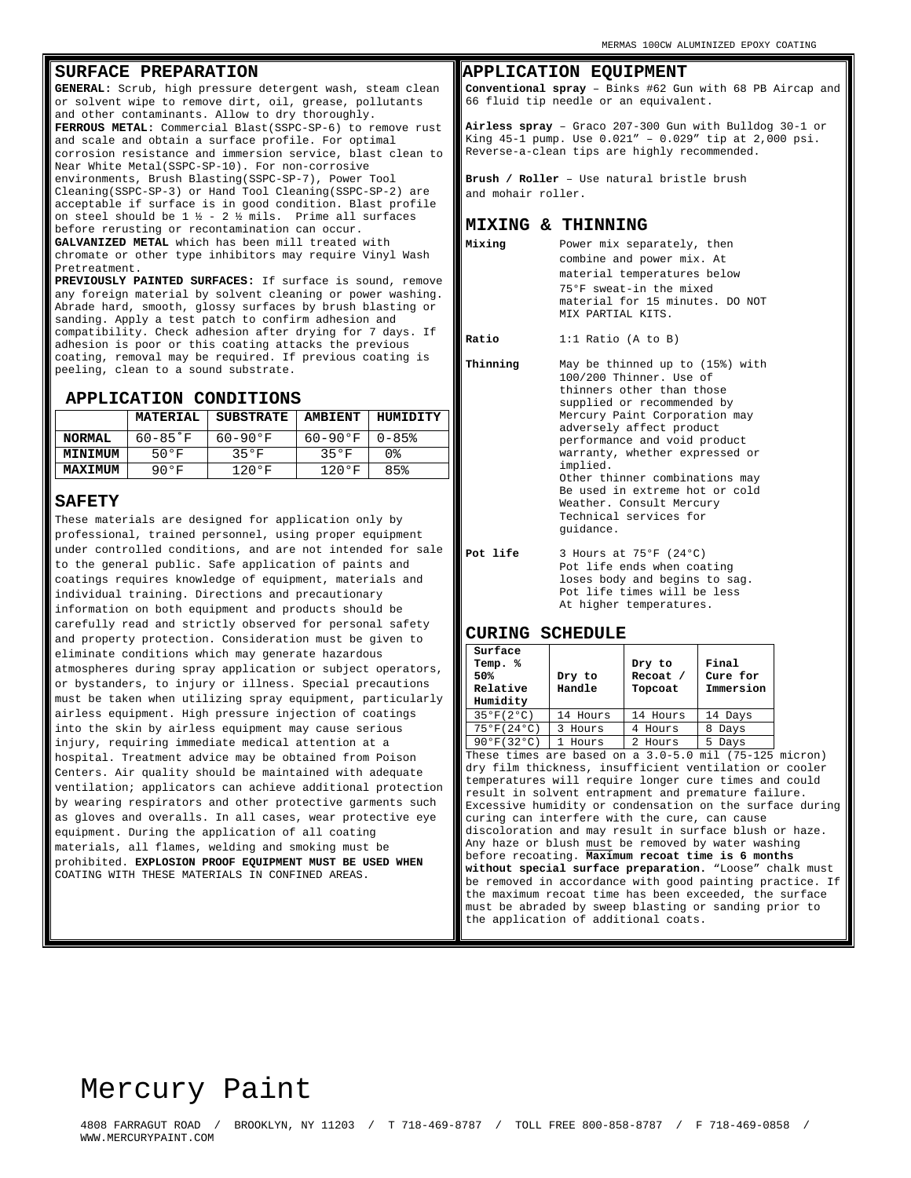# **SURFACE PREPARATION**

**GENERAL:** Scrub, high pressure detergent wash, steam clean or solvent wipe to remove dirt, oil, grease, pollutants and other contaminants. Allow to dry thoroughly. **FERROUS METAL:** Commercial Blast(SSPC-SP-6) to remove rust and scale and obtain a surface profile. For optimal corrosion resistance and immersion service, blast clean to Near White Metal(SSPC-SP-10). For non-corrosive environments, Brush Blasting(SSPC-SP-7), Power Tool Cleaning(SSPC-SP-3) or Hand Tool Cleaning(SSPC-SP-2) are acceptable if surface is in good condition. Blast profile on steel should be  $1 \frac{1}{2} - 2 \frac{1}{2}$  mils. Prime all surfaces before rerusting or recontamination can occur. **GALVANIZED METAL** which has been mill treated with chromate or other type inhibitors may require Vinyl Wash Pretreatment.

**PREVIOUSLY PAINTED SURFACES:** If surface is sound, remove any foreign material by solvent cleaning or power washing. Abrade hard, smooth, glossy surfaces by brush blasting or sanding. Apply a test patch to confirm adhesion and compatibility. Check adhesion after drying for 7 days. If adhesion is poor or this coating attacks the previous coating, removal may be required. If previous coating is peeling, clean to a sound substrate.

#### **APPLICATION CONDITIONS**

|                | <b>MATERIAL</b> | <b>SUBSTRATE</b> | <b>AMBIENT</b> | HUMIDITY |
|----------------|-----------------|------------------|----------------|----------|
| <b>NORMAL</b>  | $60 - 85$ F     | 60-90°F          | 60-90°F        | $0 - 85$ |
| <b>MINIMUM</b> | 50°F            | 350F             | 350F           | 0%       |
| <b>MAXIMUM</b> | 90°F            | $120°$ F         | 1200F          | 85%      |

#### **SAFETY**

These materials are designed for application only by professional, trained personnel, using proper equipment under controlled conditions, and are not intended for sale to the general public. Safe application of paints and coatings requires knowledge of equipment, materials and individual training. Directions and precautionary information on both equipment and products should be carefully read and strictly observed for personal safety and property protection. Consideration must be given to eliminate conditions which may generate hazardous atmospheres during spray application or subject operators, or bystanders, to injury or illness. Special precautions must be taken when utilizing spray equipment, particularly airless equipment. High pressure injection of coatings into the skin by airless equipment may cause serious injury, requiring immediate medical attention at a hospital. Treatment advice may be obtained from Poison Centers. Air quality should be maintained with adequate ventilation; applicators can achieve additional protection by wearing respirators and other protective garments such as gloves and overalls. In all cases, wear protective eye equipment. During the application of all coating materials, all flames, welding and smoking must be prohibited. **EXPLOSION PROOF EQUIPMENT MUST BE USED WHEN**  COATING WITH THESE MATERIALS IN CONFINED AREAS.

### **APPLICATION EQUIPMENT**

**Conventional spray** – Binks #62 Gun with 68 PB Aircap and 66 fluid tip needle or an equivalent.

**Airless spray** – Graco 207-300 Gun with Bulldog 30-1 or King 45-1 pump. Use 0.021" – 0.029" tip at 2,000 psi. Reverse-a-clean tips are highly recommended.

**Brush / Roller** – Use natural bristle brush and mohair roller.

#### **MIXING & THINNING**

**Mixing** Power mix separately, then combine and power mix. At material temperatures below 75°F sweat-in the mixed material for 15 minutes. DO NOT MIX PARTIAL KITS.

**Ratio** 1:1 Ratio (A to B)

**Thinning** May be thinned up to (15%) with 100/200 Thinner. Use of thinners other than those supplied or recommended by Mercury Paint Corporation may adversely affect product performance and void product warranty, whether expressed or implied. Other thinner combinations may Be used in extreme hot or cold Weather. Consult Mercury Technical services for guidance.

**Pot life** 3 Hours at 75°F (24°C) Pot life ends when coating loses body and begins to sag. Pot life times will be less At higher temperatures.

#### **CURING SCHEDULE**

| Surface<br>Temp.<br>ిశ<br>50%<br>Relative<br>Humidity | Dry to<br>Handle | Dry to<br>Recoat /<br>Topcoat | Final<br>Cure for<br>Immersion |
|-------------------------------------------------------|------------------|-------------------------------|--------------------------------|
| 35°F(2°C)                                             | 14 Hours         | 14 Hours                      | 14 Days                        |
| 75°F(24°C)                                            | Hours<br>3       | 4 Hours                       | 8 Days                         |
| 90°F(32°C)                                            | Hours            | Hours                         | 5.<br>Days                     |

These times are based on a 3.0-5.0 mil (75-125 micron) dry film thickness, insufficient ventilation or cooler temperatures will require longer cure times and could result in solvent entrapment and premature failure. Excessive humidity or condensation on the surface during curing can interfere with the cure, can cause discoloration and may result in surface blush or haze. Any haze or blush must be removed by water washing before recoating. **Maximum recoat time is 6 months without special surface preparation.** "Loose" chalk must be removed in accordance with good painting practice. If the maximum recoat time has been exceeded, the surface must be abraded by sweep blasting or sanding prior to the application of additional coats.

# Mercury Paint